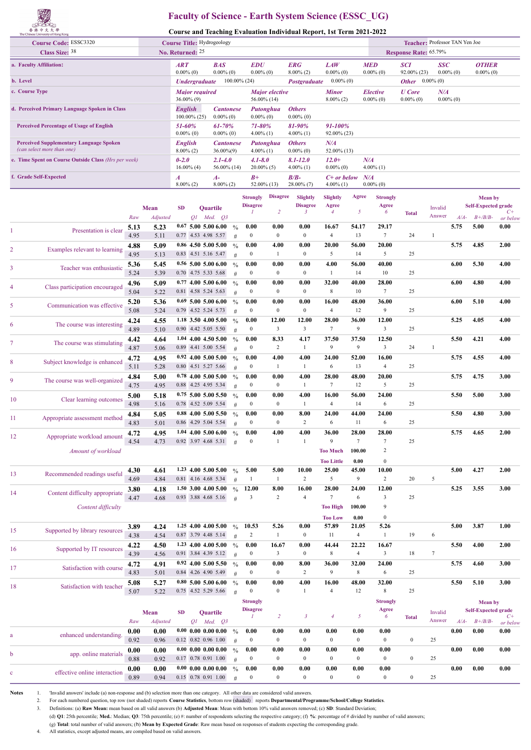## **Faculty of Science - Earth System Science (ESSC\_UG)**

**Course and Teaching Evaluation Individual Report, 1st Term 2021-2022**

|                                                                              | $\sim$<br>The Chinese University of Hong Kong |              |                  |                                  |                                                 |                            |                                 |                          |                                 | Course and Teaching Evaluation Individual Report, 1st Term 2021-2022 |                               |                          |                                          |                                     |                                |                |                            |                  |
|------------------------------------------------------------------------------|-----------------------------------------------|--------------|------------------|----------------------------------|-------------------------------------------------|----------------------------|---------------------------------|--------------------------|---------------------------------|----------------------------------------------------------------------|-------------------------------|--------------------------|------------------------------------------|-------------------------------------|--------------------------------|----------------|----------------------------|------------------|
|                                                                              | <b>Course Code: ESSC3320</b>                  |              |                  |                                  | Course Title: Hydrogeology                      |                            |                                 |                          |                                 |                                                                      |                               |                          |                                          |                                     | Teacher: Professor TAN Yen Joe |                |                            |                  |
|                                                                              | <b>Class Size: 38</b>                         |              |                  | ART                              | No. Returned: 25                                | <b>BAS</b>                 |                                 | <b>EDU</b>               |                                 | <b>ERG</b>                                                           | <b>LAW</b>                    |                          | <b>MED</b>                               | <b>Response Rate: 65.79%</b><br>SCI | SSC                            |                | <b>OTHER</b>               |                  |
| a. Faculty Affiliation:<br>b. Level                                          |                                               |              | $0.00\%$ (0)     | <b>Undergraduate</b>             | $0.00\%$ (0)                                    |                            | $0.00\%$ (0)<br>$100.00\%$ (24) |                          | $8.00\%$ (2)<br>Postgraduate    | $0.00\%$ (0)<br>$0.00\%$ (0)                                         |                               | $0.00\%$ (0)             | 92.00% (23)<br><b>Other</b> $0.00\%$ (0) |                                     | $0.00\%$ (0)                   | $0.00\%$ (0)   |                            |                  |
| c. Course Type                                                               |                                               |              |                  |                                  | <b>Major</b> required                           |                            |                                 |                          | <b>Major</b> elective           |                                                                      | <b>Minor</b>                  |                          | <b>Elective</b>                          | <b>U</b> Core                       | N/A                            |                |                            |                  |
| d. Perceived Primary Language Spoken in Class                                |                                               |              |                  | <b>English</b>                   | $36.00\%$ (9)                                   | <b>Cantonese</b>           |                                 |                          | 56.00% (14)<br>Putonghua        | <b>Others</b>                                                        | $8.00\%$ (2)                  |                          | $0.00\%$ (0)                             | $0.00\%$ (0)                        |                                | $0.00\%$ (0)   |                            |                  |
|                                                                              |                                               |              |                  | 51-60%                           | $100.00\%$ (25)                                 | $0.00\%$ (0)<br>$61 - 70%$ |                                 | $0.00\%$ (0)<br>71-80%   |                                 | $0.00\%$ (0)<br>81-90%                                               | 91-100%                       |                          |                                          |                                     |                                |                |                            |                  |
| <b>Perceived Percentage of Usage of English</b>                              |                                               |              |                  | $0.00\%$ (0)                     |                                                 | $0.00\%$ (0)               |                                 | $4.00\%$ (1)             |                                 | $4.00\%$ (1)                                                         | 92.00% (23)                   |                          |                                          |                                     |                                |                |                            |                  |
| <b>Perceived Supplementary Language Spoken</b><br>(can select more than one) |                                               |              | <b>English</b>   | $8.00\%$ (2)                     | <b>Cantonese</b><br>$36.00\%(9)$                |                            | $4.00\%$ (1)                    | Putonghua                | <b>Others</b><br>$0.00\%$ (0)   | $N\!/\!A$<br>52.00% (13)                                             |                               |                          |                                          |                                     |                                |                |                            |                  |
| e. Time Spent on Course Outside Class (Hrs per week)                         |                                               |              |                  | $0 - 2.0$                        | $16.00\%$ (4)                                   | $2.1 - 4.0$<br>56.00% (14) |                                 | 4.1-8.0<br>$20.00\%$ (5) |                                 | $8.1 - 12.0$<br>$4.00\%$ (1)                                         | $12.0+$<br>$0.00\%$ (0)       |                          | N/A<br>$4.00\%$ (1)                      |                                     |                                |                |                            |                  |
| f. Grade Self-Expected                                                       |                                               |              |                  | $\boldsymbol{A}$<br>$8.00\%$ (2) |                                                 | A-<br>$8.00\%$ (2)         |                                 | B+                       | 52.00% (13)                     | $B/B-$<br>$28.00\%$ (7)                                              | $C+$ or below<br>$4.00\%$ (1) |                          | N/A<br>$0.00\%$ (0)                      |                                     |                                |                |                            |                  |
|                                                                              |                                               |              |                  |                                  |                                                 |                            |                                 | <b>Strongly</b>          | <b>Disagree</b>                 | Slightly                                                             | Slightly                      | Agree                    | <b>Strongly</b>                          |                                     |                                |                | <b>Mean</b> by             |                  |
|                                                                              |                                               |              | <b>Mean</b>      | <b>SD</b>                        | <b>Ouartile</b>                                 |                            |                                 | <b>Disagree</b><br>1     | $\overline{c}$                  | <b>Disagree</b><br>3                                                 | Agree<br>$\overline{4}$       | 5                        | Agree<br>6                               | <b>Total</b>                        | Invalid                        |                | <b>Self-Expected grade</b> | $C+$             |
|                                                                              |                                               | Raw<br>5.13  | Adjusted<br>5.23 |                                  | QI<br>0.67500500600                             | Med. $Q3$                  | $\frac{0}{0}$                   | 0.00                     | 0.00                            | 0.00                                                                 | 16.67                         | 54.17                    | 29.17                                    |                                     | Answer                         | $A/A-$<br>5.75 | $B + /B/B$ -<br>5.00       | or below<br>0.00 |
| 1                                                                            | Presentation is clear                         | 4.95         | 5.11             |                                  | 0.77 4.53 4.98 5.57                             |                            | #                               | $\boldsymbol{0}$         | $\boldsymbol{0}$                | $\boldsymbol{0}$                                                     | 4                             | 13                       | $\overline{7}$                           | 24                                  | 1                              |                |                            |                  |
| 2                                                                            | Examples relevant to learning                 | 4.88<br>4.95 | 5.09<br>5.13     |                                  | $0.86$ 4.50 5.00 5.00<br>0.83 4.51 5.16 5.47    |                            | $\frac{0}{0}$<br>#              | 0.00<br>$\boldsymbol{0}$ | 4.00<br>-1                      | 0.00<br>$\boldsymbol{0}$                                             | 20.00<br>5                    | 56.00<br>14              | 20.00<br>5                               | 25                                  |                                | 5.75           | 4.85                       | 2.00             |
| 3                                                                            | Teacher was enthusiastic                      | 5.36<br>5.24 | 5.45<br>5.39     |                                  | $0.56$ 5.00 5.00 6.00<br>0.70 4.75 5.33 5.68    |                            | $\frac{0}{0}$                   | 0.00<br>$\boldsymbol{0}$ | 0.00<br>$\boldsymbol{0}$        | 0.00<br>$\boldsymbol{0}$                                             | 4.00<br>$\mathbf{1}$          | 56.00<br>14              | 40.00<br>10                              | 25                                  |                                | 6.00           | 5.30                       | 4.00             |
| 4                                                                            | Class participation encouraged                | 4.96         | 5.09             |                                  | $0.77$ 4.00 5.00 6.00                           |                            | #<br>$\frac{0}{0}$              | 0.00                     | 0.00                            | 0.00                                                                 | 32.00                         | 40.00                    | 28.00                                    |                                     |                                | 6.00           | 4.80                       | 4.00             |
|                                                                              |                                               | 5.04<br>5.20 | 5.22<br>5.36     |                                  | 0.81 4.58 5.24 5.63<br>$0.69$ 5.00 5.00 6.00    |                            | #<br>$\frac{0}{0}$              | $\boldsymbol{0}$<br>0.00 | $\boldsymbol{0}$<br>0.00        | $\boldsymbol{0}$<br>0.00                                             | 8<br>16.00                    | 10<br>48.00              | $\tau$<br>36.00                          | 25                                  |                                | 6.00           | 5.10                       | 4.00             |
| 5                                                                            | Communication was effective                   | 5.08         | 5.24             |                                  | 0.79 4.52 5.24 5.73<br>$1.18$ 3.50 4.00 5.00    |                            | #                               | $\boldsymbol{0}$<br>0.00 | $\bf{0}$<br>12.00               | $\boldsymbol{0}$<br>12.00                                            | 4<br>28.00                    | 12<br>36.00              | 9<br>12.00                               | 25                                  |                                | 5.25           | 4.05                       | 4.00             |
| 6                                                                            | The course was interesting                    | 4.24<br>4.89 | 4.55<br>5.10     |                                  | 0.90 4.42 5.05 5.50                             |                            | $\frac{0}{0}$<br>#              | $\boldsymbol{0}$         | $\overline{\mathbf{3}}$         | $\mathfrak{Z}$                                                       | 7                             | 9                        | $\mathbf{3}$                             | 25                                  |                                |                |                            |                  |
| 7                                                                            | The course was stimulating                    | 4.42<br>4.87 | 4.64<br>5.06     |                                  | $1.04$ 4.00 4.50 5.00<br>0.89 4.41 5.00 5.54    |                            | $\frac{0}{0}$<br>#              | 0.00<br>$\boldsymbol{0}$ | 8.33<br>2                       | 4.17<br>$\mathbf{1}$                                                 | 37.50<br>9                    | 37.50<br>9               | 12.50<br>3                               | 24                                  | $\mathbf{1}$                   | 5.50           | 4.21                       | 4.00             |
| 8                                                                            | Subject knowledge is enhanced                 | 4.72<br>5.11 | 4.95<br>5.28     |                                  | $0.92$ 4.00 5.00 5.00<br>0.80 4.51 5.27 5.66    |                            | $\frac{0}{0}$<br>#              | 0.00<br>$\boldsymbol{0}$ | 4.00<br>-1                      | 4.00<br>1                                                            | 24.00<br>6                    | 52.00<br>13              | 16.00<br>$\overline{4}$                  | 25                                  |                                | 5.75           | 4.55                       | 4.00             |
| 9                                                                            | The course was well-organized                 | 4.84         | 5.00             |                                  | $0.78$ 4.00 5.00 5.00<br>0.88 4.25 4.95 5.34    |                            | $\frac{0}{0}$                   | 0.00<br>$\boldsymbol{0}$ | 0.00<br>$\boldsymbol{0}$        | 4.00<br>$\mathbf{1}$                                                 | 28.00<br>7                    | 48.00<br>12              | 20.00<br>5                               | 25                                  |                                | 5.75           | 4.75                       | 3.00             |
| 10                                                                           | Clear learning outcomes                       | 4.75<br>5.00 | 4.95<br>5.18     |                                  | $0.75$ 5.00 5.00 5.50                           |                            | #<br>$\frac{0}{0}$              | 0.00                     | 0.00                            | 4.00                                                                 | 16.00                         | 56.00                    | 24.00                                    |                                     |                                | 5.50           | 5.00                       | 3.00             |
|                                                                              |                                               | 4.98<br>4.84 | 5.16<br>5.05     |                                  | 0.78 4.52 5.09 5.54<br>0.88 4.00 5.00 5.50      |                            | #<br>$\frac{0}{0}$              | $\boldsymbol{0}$<br>0.00 | $\boldsymbol{0}$<br>0.00        | $\mathbf{1}$<br>8.00                                                 | 4<br>24.00                    | 14<br>44.00              | 6<br>24.00                               | 25                                  |                                | 5.50           | 4.80                       | 3.00             |
| 11                                                                           | Appropriate assessment method                 | 4.83         | 5.01             |                                  | 0.86 4.29 5.04 5.54                             |                            | #                               | $\bf{0}$                 | $\mathbf{0}$                    | 2                                                                    | 6                             | 11                       | 6                                        | 25                                  |                                |                |                            |                  |
| 12                                                                           | Appropriate workload amount                   | 4.72<br>4.54 | 4.95<br>4.73     |                                  | $1.04$ 4.00 5.00 6.00<br>0.92 3.97 4.68 5.31    |                            | $\frac{0}{0}$<br>#              | 0.00<br>$\bf{0}$         | 4.00<br>-1                      | 4.00<br>1                                                            | 36.00<br>9                    | 28.00<br>$7\phantom{.0}$ | 28.00<br>7                               | 25                                  |                                | 5.75           | 4.65                       | 2.00             |
|                                                                              | Amount of workload                            |              |                  |                                  |                                                 |                            |                                 |                          |                                 |                                                                      | <b>Too Much</b>               | 100.00                   | $\overline{c}$                           |                                     |                                |                |                            |                  |
| 13                                                                           | Recommended readings useful                   | 4.30         | 4.61             |                                  | 1.23 4.00 5.00 5.00                             |                            | $\frac{0}{0}$                   | 5.00                     | 5.00                            | 10.00                                                                | <b>Too Little</b><br>25.00    | 0.00<br>45.00            | $\boldsymbol{0}$<br>10.00                |                                     |                                | 5.00           | 4.27                       | 2.00             |
|                                                                              |                                               | 4.69<br>3.80 | 4.84<br>4.18     |                                  | 0.81 4.16 4.68 5.34<br>1.50 3.00 4.00 5.00      |                            | $\#$<br>$\frac{0}{0}$           | $\mathbf{1}$<br>12.00    | $\mathbf{1}$<br>8.00            | $\overline{c}$<br>16.00                                              | 5<br>28.00                    | 9<br>24.00               | $\overline{c}$<br>12.00                  | 20                                  | 5                              | 5.25           | 3.55                       | 3.00             |
| 14                                                                           | Content difficulty appropriate                | 4.47         | 4.68             |                                  | 0.93 3.88 4.68 5.16                             |                            | $\#$                            | $\overline{\mathbf{3}}$  | 2                               | $\overline{4}$                                                       | 7                             | 6                        | $\mathbf{3}$                             | 25                                  |                                |                |                            |                  |
|                                                                              | Content difficulty                            |              |                  |                                  |                                                 |                            |                                 |                          |                                 |                                                                      | <b>Too High</b>               | 100.00                   | 9                                        |                                     |                                |                |                            |                  |
| 15                                                                           | Supported by library resources                | 3.89         | 4.24             |                                  | 1.25 4.00 4.00 5.00                             |                            | $\frac{0}{0}$                   | 10.53                    | 5.26                            | 0.00                                                                 | <b>Too Low</b><br>57.89       | 0.00<br>21.05            | $\boldsymbol{0}$<br>5.26                 |                                     |                                | 5.00           | 3.87                       | 1.00             |
|                                                                              |                                               | 4.38<br>4.22 | 4.54<br>4.50     |                                  | 0.87 3.79 4.48 5.14<br>$1.23$ 4.00 4.00 5.00    |                            | #<br>$\frac{0}{0}$              | 2<br>0.00                | $\mathbf{1}$<br>16.67           | $\bf{0}$<br>0.00                                                     | 11<br>44.44                   | $\overline{4}$<br>22.22  | $\mathbf{1}$<br>16.67                    | 19                                  | 6                              | 5.50           | 4.00                       | 2.00             |
| 16                                                                           | Supported by IT resources                     | 4.39         | 4.56             |                                  | 0.91 3.84 4.39 5.12<br>0.92 4.00 5.00 5.50      |                            | #                               | $\boldsymbol{0}$         | $\overline{\mathbf{3}}$<br>0.00 | $\boldsymbol{0}$<br>8.00                                             | 8<br>36.00                    | $\overline{4}$<br>32.00  | $\mathbf{3}$<br>24.00                    | 18                                  | $\tau$                         | 5.75           | 4.60                       | 3.00             |
| 17                                                                           | Satisfaction with course                      | 4.72<br>4.83 | 4.91<br>5.01     |                                  | 0.84 4.26 4.90 5.49                             |                            | $\frac{0}{0}$<br>#              | 0.00<br>$\boldsymbol{0}$ | $\boldsymbol{0}$                | $\overline{c}$                                                       | 9                             | 8                        | 6                                        | 25                                  |                                |                |                            |                  |
| 18                                                                           | Satisfaction with teacher                     | 5.08<br>5.07 | 5.27<br>5.22     |                                  | $0.80$ 5.00 5.00 6.00<br>0.75 4.52 5.29 5.66    |                            | $\frac{0}{0}$<br>#              | 0.00<br>$\mathbf{0}$     | 0.00<br>$\boldsymbol{0}$        | 4.00<br>1                                                            | 16.00<br>$\overline{4}$       | 48.00<br>12              | 32.00<br>8                               | 25                                  |                                | 5.50           | 5.10                       | 3.00             |
|                                                                              |                                               |              |                  |                                  |                                                 |                            |                                 | <b>Strongly</b>          |                                 |                                                                      |                               |                          | <b>Strongly</b>                          |                                     |                                |                | <b>Mean</b> by             |                  |
|                                                                              |                                               |              | Mean             | <b>SD</b>                        | Quartile                                        |                            |                                 | <b>Disagree</b><br>1     | $\overline{2}$                  | $\mathfrak{z}$                                                       | $\overline{4}$                | 5                        | Agree<br>6                               | <b>Total</b>                        | Invalid                        |                | <b>Self-Expected grade</b> | $C+$             |
|                                                                              |                                               | Raw<br>0.00  | Adjusted<br>0.00 |                                  | $Q1$ Med. $Q3$<br>$0.00\ 0.00\ 0.00\ 0.00$      |                            | $\frac{0}{0}$                   | 0.00                     | 0.00                            | 0.00                                                                 | 0.00                          | 0.00                     | 0.00                                     |                                     | Answer                         | $A/A-$<br>0.00 | $B + /B/B$ -<br>0.00       | or below<br>0.00 |
| a                                                                            | enhanced understanding.                       | 0.92         | 0.96             |                                  | 0.12 0.82 0.96 1.00                             |                            | #                               | $\boldsymbol{0}$         | $\boldsymbol{0}$                | $\boldsymbol{0}$                                                     | $\boldsymbol{0}$              | $\mathbf{0}$             | $\boldsymbol{0}$                         | $\boldsymbol{0}$                    | 25                             |                |                            |                  |
| b                                                                            | app. online materials                         | 0.00<br>0.88 | 0.00<br>0.92     |                                  | $0.00\ 0.00\ 0.00\ 0.00$<br>0.17 0.78 0.91 1.00 |                            | $\frac{0}{0}$<br>#              | 0.00<br>$\boldsymbol{0}$ | 0.00<br>$\boldsymbol{0}$        | 0.00<br>$\boldsymbol{0}$                                             | 0.00<br>$\boldsymbol{0}$      | 0.00<br>$\bf{0}$         | 0.00<br>$\boldsymbol{0}$                 | $\boldsymbol{0}$                    | 25                             | 0.00           | 0.00                       | 0.00             |
| $\mathbf c$                                                                  | effective online interaction                  | 0.00         | 0.00             |                                  | $0.00\ 0.00\ 0.00\ 0.00$                        |                            | $\frac{0}{0}$                   | 0.00                     | 0.00                            | 0.00                                                                 | 0.00                          | 0.00                     | 0.00                                     |                                     |                                | 0.00           | 0.00                       | 0.00             |
|                                                                              |                                               | 0.89         | 0.94             |                                  | 0.15 0.78 0.91 1.00                             |                            | #                               | $\boldsymbol{0}$         | $\boldsymbol{0}$                | $\boldsymbol{0}$                                                     | $\boldsymbol{0}$              | $\bf{0}$                 | $\boldsymbol{0}$                         | $\bf{0}$                            | 25                             |                |                            |                  |

**Notes** 1. 'Invalid answers' include (a) non-response and (b) selection more than one category. All other data are considered valid answers.

2. For each numbered question, top row (not shaded) reports **Course Statistics**, bottom row (shaded) reports **Departmental/Programme/School/College Statistics**.

3. Definitions: (a) **Raw Mean:** mean based on all valid answers (b) **Adjusted Mean**: Mean with bottom 10% valid answers removed; (c) **SD**: Standard Deviation;

(d) **Q1**: 25th percentile; **Med.**: Median; **Q3**: 75th percentile; (e) #: number of respondents selecting the respective category; (f) **%**: percentage of # divided by number of valid answers;

(g) **Total**: total number of valid answers; (h) **Mean by Expected Grade**: Raw mean based on responses of students expecting the corresponding grade.

4. All statistics, except adjusted means, are compiled based on valid answers.